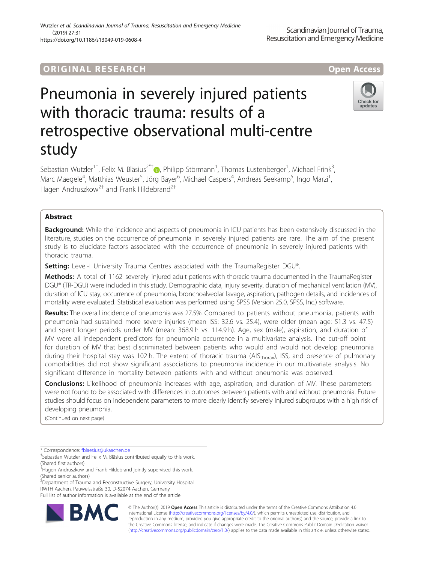# **ORIGINAL RESEARCH And Access** open Access

# Pneumonia in severely injured patients with thoracic trauma: results of a retrospective observational multi-centre study

Sebastian Wutzler<sup>1†</sup>[,](http://orcid.org/0000-0001-7419-8687) Felix M. Bläsius<sup>2\*†</sup>®, Philipp Störmann<sup>1</sup>, Thomas Lustenberger<sup>1</sup>, Michael Frink<sup>3</sup> , Marc Maegele<sup>4</sup>, Matthias Weuster<sup>5</sup>, Jörg Bayer<sup>6</sup>, Michael Caspers<sup>4</sup>, Andreas Seekamp<sup>5</sup>, Ingo Marzi<sup>1</sup> , Hagen Andruszkow<sup>2†</sup> and Frank Hildebrand<sup>2†</sup>

## Abstract

**Background:** While the incidence and aspects of pneumonia in ICU patients has been extensively discussed in the literature, studies on the occurrence of pneumonia in severely injured patients are rare. The aim of the present study is to elucidate factors associated with the occurrence of pneumonia in severely injured patients with thoracic trauma.

Setting: Level-I University Trauma Centres associated with the TraumaRegister DGU®.

Methods: A total of 1162 severely injured adult patients with thoracic trauma documented in the TraumaRegister DGU® (TR-DGU) were included in this study. Demographic data, injury severity, duration of mechanical ventilation (MV), duration of ICU stay, occurrence of pneumonia, bronchoalveolar lavage, aspiration, pathogen details, and incidences of mortality were evaluated. Statistical evaluation was performed using SPSS (Version 25.0, SPSS, Inc.) software.

Results: The overall incidence of pneumonia was 27.5%. Compared to patients without pneumonia, patients with pneumonia had sustained more severe injuries (mean ISS: 32.6 vs. 25.4), were older (mean age: 51.3 vs. 47.5) and spent longer periods under MV (mean: 368.9 h vs. 114.9 h). Age, sex (male), aspiration, and duration of MV were all independent predictors for pneumonia occurrence in a multivariate analysis. The cut-off point for duration of MV that best discriminated between patients who would and would not develop pneumonia during their hospital stay was 102 h. The extent of thoracic trauma (AIS<sub>thorax</sub>), ISS, and presence of pulmonary comorbidities did not show significant associations to pneumonia incidence in our multivariate analysis. No significant difference in mortality between patients with and without pneumonia was observed.

**Conclusions:** Likelihood of pneumonia increases with age, aspiration, and duration of MV. These parameters were not found to be associated with differences in outcomes between patients with and without pneumonia. Future studies should focus on independent parameters to more clearly identify severely injured subgroups with a high risk of developing pneumonia.

(Continued on next page)

\* Correspondence: [fblaesius@ukaachen.de](mailto:fblaesius@ukaachen.de) †

**RM** 

<sup>2</sup>Department of Trauma and Reconstructive Surgery, University Hospital RWTH Aachen, Pauwelsstraße 30, D-52074 Aachen, Germany

Full list of author information is available at the end of the article

© The Author(s). 2019 **Open Access** This article is distributed under the terms of the Creative Commons Attribution 4.0 International License [\(http://creativecommons.org/licenses/by/4.0/](http://creativecommons.org/licenses/by/4.0/)), which permits unrestricted use, distribution, and reproduction in any medium, provided you give appropriate credit to the original author(s) and the source, provide a link to the Creative Commons license, and indicate if changes were made. The Creative Commons Public Domain Dedication waiver [\(http://creativecommons.org/publicdomain/zero/1.0/](http://creativecommons.org/publicdomain/zero/1.0/)) applies to the data made available in this article, unless otherwise stated.







<sup>&</sup>lt;sup>+</sup>Sebastian Wutzler and Felix M. Bläsius contributed equally to this work. (Shared first authors)

<sup>†</sup> Hagen Andruszkow and Frank Hildebrand jointly supervised this work. (Shared senior authors)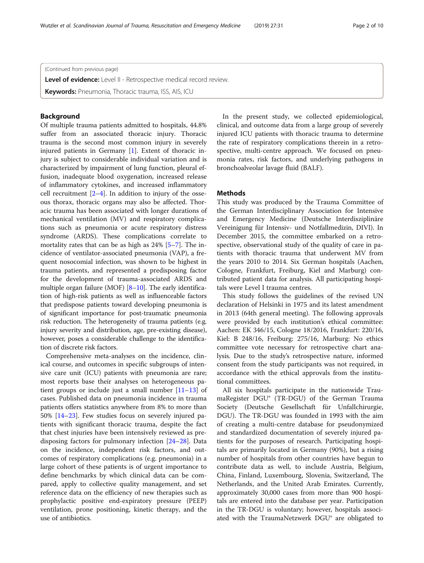(Continued from previous page)

Level of evidence: Level II - Retrospective medical record review.

**Keywords:** Pneumonia, Thoracic trauma, ISS, AIS, ICU

## Background

Of multiple trauma patients admitted to hospitals, 44.8% suffer from an associated thoracic injury. Thoracic trauma is the second most common injury in severely injured patients in Germany [\[1\]](#page-8-0). Extent of thoracic injury is subject to considerable individual variation and is characterized by impairment of lung function, pleural effusion, inadequate blood oxygenation, increased release of inflammatory cytokines, and increased inflammatory cell recruitment  $[2-4]$  $[2-4]$  $[2-4]$ . In addition to injury of the osseous thorax, thoracic organs may also be affected. Thoracic trauma has been associated with longer durations of mechanical ventilation (MV) and respiratory complications such as pneumonia or acute respiratory distress syndrome (ARDS). These complications correlate to mortality rates that can be as high as 24% [[5](#page-8-0)–[7](#page-8-0)]. The incidence of ventilator-associated pneumonia (VAP), a frequent nosocomial infection, was shown to be highest in trauma patients, and represented a predisposing factor for the development of trauma-associated ARDS and multiple organ failure (MOF) [\[8](#page-8-0)–[10](#page-8-0)]. The early identification of high-risk patients as well as influenceable factors that predispose patients toward developing pneumonia is of significant importance for post-traumatic pneumonia risk reduction. The heterogeneity of trauma patients (e.g. injury severity and distribution, age, pre-existing disease), however, poses a considerable challenge to the identification of discrete risk factors.

Comprehensive meta-analyses on the incidence, clinical course, and outcomes in specific subgroups of intensive care unit (ICU) patients with pneumonia are rare; most reports base their analyses on heterogeneous patient groups or include just a small number [[11](#page-8-0)–[13](#page-8-0)] of cases. Published data on pneumonia incidence in trauma patients offers statistics anywhere from 8% to more than 50% [[14](#page-8-0)–[23](#page-8-0)]. Few studies focus on severely injured patients with significant thoracic trauma, despite the fact that chest injuries have been intensively reviewed as predisposing factors for pulmonary infection [[24](#page-8-0)–[28](#page-8-0)]. Data on the incidence, independent risk factors, and outcomes of respiratory complications (e.g. pneumonia) in a large cohort of these patients is of urgent importance to define benchmarks by which clinical data can be compared, apply to collective quality management, and set reference data on the efficiency of new therapies such as prophylactic positive end-expiratory pressure (PEEP) ventilation, prone positioning, kinetic therapy, and the use of antibiotics.

In the present study, we collected epidemiological, clinical, and outcome data from a large group of severely injured ICU patients with thoracic trauma to determine the rate of respiratory complications therein in a retrospective, multi-centre approach. We focused on pneumonia rates, risk factors, and underlying pathogens in bronchoalveolar lavage fluid (BALF).

## Methods

This study was produced by the Trauma Committee of the German Interdisciplinary Association for Intensive and Emergency Medicine (Deutsche Interdisziplinäre Vereinigung für Intensiv- und Notfallmedizin, DIVI). In December 2015, the committee embarked on a retrospective, observational study of the quality of care in patients with thoracic trauma that underwent MV from the years 2010 to 2014. Six German hospitals (Aachen, Cologne, Frankfurt, Freiburg, Kiel and Marburg) contributed patient data for analysis. All participating hospitals were Level I trauma centres.

This study follows the guidelines of the revised UN declaration of Helsinki in 1975 and its latest amendment in 2013 (64th general meeting). The following approvals were provided by each institution's ethical committee: Aachen: EK 346/15, Cologne 18/2016, Frankfurt: 220/16, Kiel: B 248/16, Freiburg: 275/16, Marburg: No ethics committee vote necessary for retrospective chart analysis. Due to the study's retrospective nature, informed consent from the study participants was not required, in accordance with the ethical approvals from the institutional committees.

All six hospitals participate in the nationwide TraumaRegister DGU® (TR-DGU) of the German Trauma Society (Deutsche Gesellschaft für Unfallchirurgie, DGU). The TR-DGU was founded in 1993 with the aim of creating a multi-centre database for pseudonymized and standardized documentation of severely injured patients for the purposes of research. Participating hospitals are primarily located in Germany (90%), but a rising number of hospitals from other countries have begun to contribute data as well, to include Austria, Belgium, China, Finland, Luxembourg, Slovenia, Switzerland, The Netherlands, and the United Arab Emirates. Currently, approximately 30,000 cases from more than 900 hospitals are entered into the database per year. Participation in the TR-DGU is voluntary; however, hospitals associated with the TraumaNetzwerk DGU® are obligated to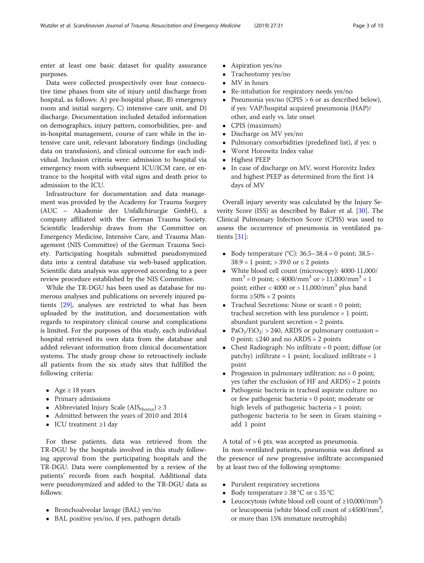enter at least one basic dataset for quality assurance purposes.

Data were collected prospectively over four consecutive time phases from site of injury until discharge from hospital, as follows: A) pre-hospital phase, B) emergency room and initial surgery, C) intensive care unit, and D) discharge. Documentation included detailed information on demographics, injury pattern, comorbidities, pre- and in-hospital management, course of care while in the intensive care unit, relevant laboratory findings (including data on transfusion), and clinical outcome for each individual. Inclusion criteria were: admission to hospital via emergency room with subsequent ICU/ICM care, or entrance to the hospital with vital signs and death prior to admission to the ICU.

Infrastructure for documentation and data management was provided by the Academy for Trauma Surgery (AUC – Akademie der Unfallchirurgie GmbH), a company affiliated with the German Trauma Society. Scientific leadership draws from the Committee on Emergency Medicine, Intensive Care, and Trauma Management (NIS Committee) of the German Trauma Society. Participating hospitals submitted pseudonymized data into a central database via web-based application. Scientific data analysis was approved according to a peer review procedure established by the NIS Committee.

While the TR-DGU has been used as database for numerous analyses and publications on severely injured patients [\[29](#page-8-0)], analyses are restricted to what has been uploaded by the institution, and documentation with regards to respiratory clinical course and complications is limited. For the purposes of this study, each individual hospital retrieved its own data from the database and added relevant information from clinical documentation systems. The study group chose to retroactively include all patients from the six study sites that fulfilled the following criteria:

- Age  $\geq$  18 years
- Primary admissions
- Abbreviated Injury Scale ( $\text{AIS}_{\text{thorax}}$ )  $\geq 3$
- Admitted between the years of 2010 and 2014
- ICU treatment ≥1 day

For these patients, data was retrieved from the TR-DGU by the hospitals involved in this study following approval from the participating hospitals and the TR-DGU. Data were complemented by a review of the patients' records from each hospital. Additional data were pseudonymized and added to the TR-DGU data as follows:

- Bronchoalveolar lavage (BAL) yes/no
- BAL positive yes/no, if yes, pathogen details
- Aspiration yes/no
- Tracheotomy yes/no
- MV in hours
- Re-intubation for respiratory needs yes/no
- Pneumonia yes/no (CPIS > 6 or as described below), if yes: VAP/hospital acquired pneumonia (HAP)/ other, and early vs. late onset
- CPIS (maximum)
- Discharge on MV yes/no
- Pulmonary comorbidities (predefined list), if yes: n
- Worst Horowitz Index value
- Highest PEEP
- In case of discharge on MV, worst Horovitz Index and highest PEEP as determined from the first 14 days of MV

Overall injury severity was calculated by the Injury Severity Score (ISS) as described by Baker et al. [\[30](#page-8-0)]. The Clinical Pulmonary Infection Score (CPIS) was used to assess the occurrence of pneumonia in ventilated patients [\[31](#page-8-0)]:

- $\bullet$  Body temperature (°C): 36.5–38.4 = 0 point; 38.5–  $38.9 = 1$  point; > 39.0 or  $\leq 2$  points
- White blood cell count (microscopy): 4000-11,000/  $mm<sup>3</sup> = 0$  point; < 4000/mm<sup>3</sup> or > 11,000/mm<sup>3</sup> = 1 point; either < 4000 or > 11,000/mm<sup>3</sup> plus band forms  $\geq 50\% = 2$  points
- Tracheal Secretions: None or scant = 0 point; tracheal secretion with less purulence = 1 point; abundant purulent secretion = 2 points.
- PaO<sub>2</sub>/FiO<sub>2</sub>: > 240, ARDS or pulmonary contusion = 0 point;  $\leq 240$  and no ARDS = 2 points
- Chest Radiograph: No infiltrate  $= 0$  point; diffuse (or patchy) infiltrate = 1 point; localized infiltrate = 1 point
- Progession in pulmonary infiltration:  $no = 0$  point; yes (after the exclusion of HF and ARDS) = 2 points
- Pathogenic bacteria in tracheal aspirate culture: no or few pathogenic bacteria = 0 point; moderate or high levels of pathogenic bacteria = 1 point; pathogenic bacteria to be seen in Gram staining = add 1 point

A total of > 6 pts. was accepted as pneumonia.

In non-ventilated patients, pneumonia was defined as the presence of new progressive infiltrate accompanied by at least two of the following symptoms:

- Purulent respiratory secretions
- Body temperature  $\geq 38$  °C or  $\leq 35$  °C
- Leucocytosis (white blood cell count of  $\geq$ 10,000/mm<sup>3</sup>) or leucopoenia (white blood cell count of ≤4500/mm<sup>3</sup>, or more than 15% immature neutrophils)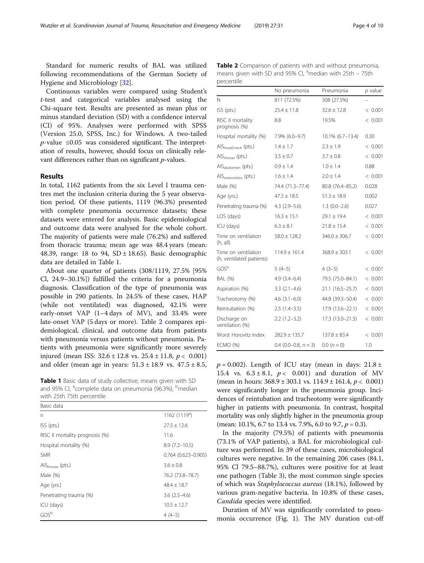Standard for numeric results of BAL was utilized following recommendations of the German Society of Hygiene and Microbiology [[32](#page-8-0)].

Continuous variables were compared using Student's t-test and categorical variables analysed using the Chi-square test. Results are presented as mean plus or minus standard deviation (SD) with a confidence interval (CI) of 95%. Analyses were performed with SPSS (Version 25.0, SPSS, Inc.) for Windows. A two-tailed  $p$ -value ≤0.05 was considered significant. The interpretation of results, however, should focus on clinically relevant differences rather than on significant p-values.

## Results

In total, 1162 patients from the six Level I trauma centres met the inclusion criteria during the 5 year observation period. Of these patients, 1119 (96.3%) presented with complete pneumonia occurrence datasets; these datasets were entered for analysis. Basic epidemiological and outcome data were analysed for the whole cohort. The majority of patients were male (76.2%) and suffered from thoracic trauma; mean age was 48.4 years (mean: 48.39, range: 18 to 94,  $SD \pm 18.65$ ). Basic demographic data are detailed in Table 1.

About one quarter of patients (308/1119, 27.5% [95% Cl, 24.9–30.1%]) fulfilled the criteria for a pneumonia diagnosis. Classification of the type of pneumonia was possible in 290 patients. In 24.5% of these cases, HAP (while not ventilated) was diagnosed, 42.1% were early-onset VAP (1–4 days of MV), and 33.4% were late-onset VAP (5 days or more). Table 2 compares epidemiological, clinical, and outcome data from patients with pneumonia versus patients without pneumonia. Patients with pneumonia were significantly more severely injured (mean ISS:  $32.6 \pm 12.8$  vs.  $25.4 \pm 11.8$ ,  $p < 0.001$ )

Table 1 Basic data of study collective, means given with SD and 95% CI, <sup>a</sup>complete data on pneumonia (96.3%), <sup>b</sup>median with 25th 75th percentile

| Basic data                                 |                           |
|--------------------------------------------|---------------------------|
| n                                          | 1162(1119 <sup>a</sup> )  |
| $ISS$ ( $pts$ .)                           | $27.5 \pm 12.6$           |
| RISC II mortality prognosis (%)            | 11.6                      |
| Hospital mortality (%)                     | $8.9(7.2 - 10.5)$         |
| <b>SMR</b>                                 | $0.764$ $(0.623 - 0.905)$ |
| $\overline{A}$ IS <sub>thorax</sub> (pts.) | $3.6 \pm 0.8$             |
| Male (%)                                   | 76.2 (73.8-78.7)          |
| Age (yrs.)                                 | $48.4 \pm 18.7$           |
| Penetrating trauma (%)                     | $3.6(2.5-4.6)$            |
| ICU (days)                                 | $10.5 + 12.7$             |
| GOS <sup>b</sup>                           | $4(4-5)$                  |

| Table 2 Comparison of patients with and without pneumonia,           |
|----------------------------------------------------------------------|
| means given with SD and 95% CI, <sup>a</sup> median with 25th – 75th |
| percentile                                                           |

|                                                 | No pneumonia           | Pneumonia         | $p$ value |
|-------------------------------------------------|------------------------|-------------------|-----------|
| Ν                                               | 811 (72.5%)            | 308 (27.5%)       |           |
| ISS (pts.)                                      | $25.4 + 11.8$          | $32.6 + 12.8$     | < 0.001   |
| RISC II mortality<br>prognosis (%)              | 8.8                    | 19.5%             | < 0.001   |
| Hospital mortality (%)                          | 7.9% (6.0-9.7)         | 10.1% (6.7-13.4)  | 0.30      |
| AlS <sub>head/neck</sub> (pts.)                 | $1.4 \pm 1.7$          | $2.3 \pm 1.9$     | < 0.001   |
| AlS <sub>thorax</sub> (pts.)                    | $3.5 \pm 0.7$          | $3.7 \pm 0.8$     | < 0.001   |
| AIS <sub>abdomen</sub> (pts.)                   | $0.9 \pm 1.4$          | $1.0 \pm 1.4$     | 0.88      |
| AIS <sub>extremities</sub> (pts.)               | $1.6 \pm 1.4$          | $2.0 \pm 1.4$     | < 0.001   |
| Male (%)                                        | 74.4 (71.3-77.4)       | 80.8 (76.4-85.2)  | 0.028     |
| Age (yrs.)                                      | $47.5 \pm 18.5$        | $51.3 \pm 18.9$   | 0.002     |
| Penetrating trauma (%)                          | $4.3(2.9-5.6)$         | $1.3(0.0-2.6)$    | 0.027     |
| LOS (days)                                      | $16.3 \pm 15.1$        | $29.1 \pm 19.4$   | < 0.001   |
| ICU (days)                                      | $6.3 \pm 8.1$          | $21.8 \pm 15.4$   | < 0.001   |
| Time on ventilation<br>(h, all)                 | $58.0 \pm 128.2$       | $346.0 \pm 306.7$ | < 0.001   |
| Time on ventilation<br>(h, ventilated patients) | $114.9 + 161.4$        | $368.9 \pm 303.1$ | < 0.001   |
| GOSª                                            | $5(4-5)$               | $4(3-5)$          | < 0.001   |
| <b>BAL (%)</b>                                  | $4.9(3.4 - 6.4)$       | 79.5 (75.0-84.1)  | < 0.001   |
| Aspiration (%)                                  | $3.3(2.1-4.6)$         | 21.1 (16.5-25.7)  | < 0.001   |
| Tracheotomy (%)                                 | $4.6(3.1 - 6.0)$       | 44.8 (39.3-50.4)  | < 0.001   |
| Reintubation (%)                                | $2.5(1.4-3.5)$         | 17.9 (13.6-22.1)  | < 0.001   |
| Discharge on<br>ventilation (%)                 | $2.2(1.2-3.2)$         | 17.3 (13.0-21.5)  | < 0.001   |
| Worst Horovitz Index                            | $282.9 \pm 135.7$      | $137.8 \pm 83.4$  | < 0.001   |
| <b>ECMO (%)</b>                                 | 0.4 $(0.0-0.8, n = 3)$ | $0.0 (n = 0)$     | 1.0       |

and older (mean age in years:  $51.3 \pm 18.9$  vs.  $47.5 \pm 8.5$ ,  $p = 0.002$ ). Length of ICU stay (mean in days:  $21.8 \pm 18.9$ 15.4 vs.  $6.3 \pm 8.1$ ,  $p < 0.001$ ) and duration of MV (mean in hours:  $368.9 \pm 303.1$  vs.  $114.9 \pm 161.4$ ,  $p < 0.001$ ) were significantly longer in the pneumonia group. Incidences of reintubation and tracheotomy were significantly higher in patients with pneumonia. In contrast, hospital mortality was only slightly higher in the pneumonia group (mean: 10.1%, 6.7 to 13.4 vs. 7.9%, 6.0 to 9.7,  $p = 0.3$ ).

> In the majority (79.5%) of patients with pneumonia (73.1% of VAP patients), a BAL for microbiological culture was performed. In 39 of these cases, microbiological cultures were negative. In the remaining 206 cases (84.1, 95% Cl 79.5–88.7%), cultures were positive for at least one pathogen (Table [3\)](#page-4-0), the most common single species of which was Staphylococcus aureus (18.1%), followed by various gram-negative bacteria. In 10.8% of these cases, Candida species were identified.

> Duration of MV was significantly correlated to pneumonia occurrence (Fig. [1\)](#page-4-0). The MV duration cut-off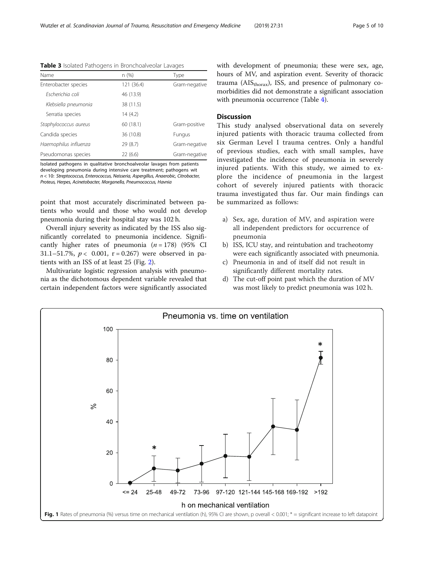| Name                  | n (%)      | Type          |
|-----------------------|------------|---------------|
| Enterobacter species  | 121 (36.4) | Gram-negative |
| Escherichia coli      | 46 (13.9)  |               |
| Klebsiella pneumonia  | 38 (11.5)  |               |
| Serratia species      | 14(4.2)    |               |
| Staphylococcus aureus | 60(18.1)   | Gram-positive |
| Candida species       | 36 (10.8)  | Fungus        |
| Haemophilus influenza | 29(8.7)    | Gram-negative |
| Pseudomonas species   | 22(6.6)    | Gram-negative |

<span id="page-4-0"></span>Table 3 Isolated Pathogens in Bronchoalveolar Lavages

Isolated pathogens in qualitative bronchoalveolar lavages from patients developing pneumonia during intensive care treatment; pathogens wit n < 10: Streptococcus, Enterococcus, Neisseria, Aspergillus, Anaerobic, Citrobacter, Proteus, Herpes, Acinetobacter, Morganella, Pneumococcus, Havnia

point that most accurately discriminated between patients who would and those who would not develop pneumonia during their hospital stay was 102 h.

Overall injury severity as indicated by the ISS also significantly correlated to pneumonia incidence. Significantly higher rates of pneumonia  $(n = 178)$  (95% CI 31.1–51.7%,  $p < 0.001$ ,  $r = 0.267$ ) were observed in patients with an ISS of at least 25 (Fig. [2](#page-5-0)).

Multivariate logistic regression analysis with pneumonia as the dichotomous dependent variable revealed that certain independent factors were significantly associated with development of pneumonia; these were sex, age, hours of MV, and aspiration event. Severity of thoracic trauma ( $\text{AIS}_{\text{thoray}}$ ), ISS, and presence of pulmonary comorbidities did not demonstrate a significant association with pneumonia occurrence (Table [4\)](#page-5-0).

## **Discussion**

This study analysed observational data on severely injured patients with thoracic trauma collected from six German Level I trauma centres. Only a handful of previous studies, each with small samples, have investigated the incidence of pneumonia in severely injured patients. With this study, we aimed to explore the incidence of pneumonia in the largest cohort of severely injured patients with thoracic trauma investigated thus far. Our main findings can be summarized as follows:

- a) Sex, age, duration of MV, and aspiration were all independent predictors for occurrence of pneumonia
- b) ISS, ICU stay, and reintubation and tracheotomy were each significantly associated with pneumonia.
- c) Pneumonia in and of itself did not result in significantly different mortality rates.
- d) The cut-off point past which the duration of MV was most likely to predict pneumonia was 102 h.

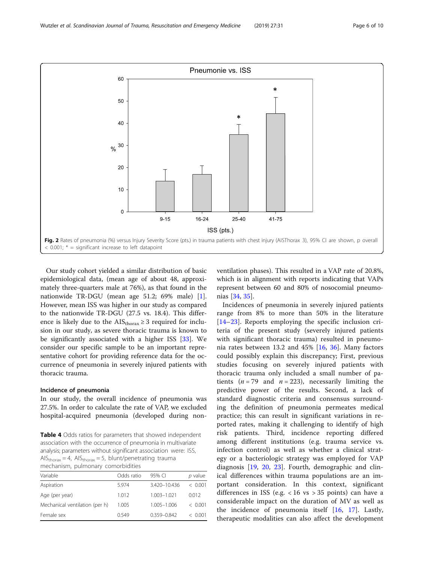<span id="page-5-0"></span>

Our study cohort yielded a similar distribution of basic epidemiological data, (mean age of about 48, approximately three-quarters male at 76%), as that found in the nationwide TR-DGU (mean age 51.2; 69% male) [\[1](#page-8-0)]. However, mean ISS was higher in our study as compared to the nationwide TR-DGU (27.5 vs. 18.4). This difference is likely due to the  $\text{AIS}_{\text{thorax}} \geq 3$  required for inclusion in our study, as severe thoracic trauma is known to be significantly associated with a higher ISS [\[33\]](#page-8-0). We consider our specific sample to be an important representative cohort for providing reference data for the occurrence of pneumonia in severely injured patients with thoracic trauma.

## Incidence of pneumonia

In our study, the overall incidence of pneumonia was 27.5%. In order to calculate the rate of VAP, we excluded hospital-acquired pneumonia (developed during non-

Table 4 Odds ratios for parameters that showed independent association with the occurrence of pneumonia in multivariate analysis; parameters without significant association were: ISS,  $AIS_{\text{thorax}} = 4$ ,  $AIS_{\text{thorax}} = 5$ , blunt/penetrating trauma mechanism, pulmonary comorbidities

| Variable<br>Odds ratio<br>95% CI                       |           |
|--------------------------------------------------------|-----------|
|                                                        | $p$ value |
| Aspiration<br>3.420-10.436<br>5.974                    | < 0.001   |
| Age (per year)<br>1.003-1.021<br>1.012                 | 0.012     |
| Mechanical ventilation (per h)<br>1.005-1.006<br>1.005 | < 0.001   |
| Female sex<br>$0.359 - 0.842$<br>0549                  | < 0.001   |

ventilation phases). This resulted in a VAP rate of 20.8%, which is in alignment with reports indicating that VAPs represent between 60 and 80% of nosocomial pneumonias [\[34,](#page-8-0) [35\]](#page-8-0).

Incidences of pneumonia in severely injured patients range from 8% to more than 50% in the literature [[14](#page-8-0)–[23\]](#page-8-0). Reports employing the specific inclusion criteria of the present study (severely injured patients with significant thoracic trauma) resulted in pneumonia rates between 13.2 and 45% [[16,](#page-8-0) [36\]](#page-8-0). Many factors could possibly explain this discrepancy; First, previous studies focusing on severely injured patients with thoracic trauma only included a small number of patients ( $n = 79$  and  $n = 223$ ), necessarily limiting the predictive power of the results. Second, a lack of standard diagnostic criteria and consensus surrounding the definition of pneumonia permeates medical practice; this can result in significant variations in reported rates, making it challenging to identify of high risk patients. Third, incidence reporting differed among different institutions (e.g. trauma service vs. infection control) as well as whether a clinical strategy or a bacteriologic strategy was employed for VAP diagnosis [\[19](#page-8-0), [20](#page-8-0), [23](#page-8-0)]. Fourth, demographic and clinical differences within trauma populations are an important consideration. In this context, significant differences in ISS (e.g.  $< 16$  vs  $> 35$  points) can have a considerable impact on the duration of MV as well as the incidence of pneumonia itself  $[16, 17]$  $[16, 17]$  $[16, 17]$  $[16, 17]$ . Lastly, therapeutic modalities can also affect the development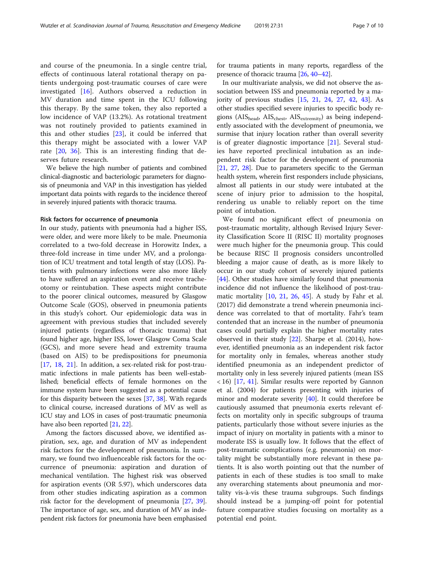and course of the pneumonia. In a single centre trial, effects of continuous lateral rotational therapy on patients undergoing post-traumatic courses of care were investigated [\[16](#page-8-0)]. Authors observed a reduction in MV duration and time spent in the ICU following this therapy. By the same token, they also reported a low incidence of VAP (13.2%). As rotational treatment was not routinely provided to patients examined in this and other studies [[23\]](#page-8-0), it could be inferred that this therapy might be associated with a lower VAP rate [\[20](#page-8-0), [36\]](#page-8-0). This is an interesting finding that deserves future research.

We believe the high number of patients and combined clinical-diagnostic and bacteriologic parameters for diagnosis of pneumonia and VAP in this investigation has yielded important data points with regards to the incidence thereof in severely injured patients with thoracic trauma.

#### Risk factors for occurrence of pneumonia

In our study, patients with pneumonia had a higher ISS, were older, and were more likely to be male. Pneumonia correlated to a two-fold decrease in Horowitz Index, a three-fold increase in time under MV, and a prolongation of ICU treatment and total length of stay (LOS). Patients with pulmonary infections were also more likely to have suffered an aspiration event and receive tracheotomy or reintubation. These aspects might contribute to the poorer clinical outcomes, measured by Glasgow Outcome Scale (GOS), observed in pneumonia patients in this study's cohort. Our epidemiologic data was in agreement with previous studies that included severely injured patients (regardless of thoracic trauma) that found higher age, higher ISS, lower Glasgow Coma Scale (GCS), and more severe head and extremity trauma (based on AIS) to be predispositions for pneumonia [[17,](#page-8-0) [18,](#page-8-0) [21\]](#page-8-0). In addition, a sex-related risk for post-traumatic infections in male patients has been well-established; beneficial effects of female hormones on the immune system have been suggested as a potential cause for this disparity between the sexes [[37](#page-9-0), [38](#page-9-0)]. With regards to clinical course, increased durations of MV as well as ICU stay and LOS in cases of post-traumatic pneumonia have also been reported [\[21,](#page-8-0) [22](#page-8-0)].

Among the factors discussed above, we identified aspiration, sex, age, and duration of MV as independent risk factors for the development of pneumonia. In summary, we found two influenceable risk factors for the occurrence of pneumonia: aspiration and duration of mechanical ventilation. The highest risk was observed for aspiration events (OR 5.97), which underscores data from other studies indicating aspiration as a common risk factor for the development of pneumonia [\[27](#page-8-0), [39](#page-9-0)]. The importance of age, sex, and duration of MV as independent risk factors for pneumonia have been emphasised for trauma patients in many reports, regardless of the presence of thoracic trauma [\[26,](#page-8-0) [40](#page-9-0)–[42\]](#page-9-0).

In our multivariate analysis, we did not observe the association between ISS and pneumonia reported by a majority of previous studies [\[15](#page-8-0), [21](#page-8-0), [24](#page-8-0), [27,](#page-8-0) [42,](#page-9-0) [43](#page-9-0)]. As other studies specified severe injuries to specific body regions ( $\text{AIS}_{\text{head}}$ ,  $\text{AIS}_{\text{check}}$ ,  $\text{AIS}_{\text{extremity}}$ ) as being independently associated with the development of pneumonia, we surmise that injury location rather than overall severity is of greater diagnostic importance [\[21](#page-8-0)]. Several studies have reported preclinical intubation as an independent risk factor for the development of pneumonia [[21](#page-8-0), [27,](#page-8-0) [28\]](#page-8-0). Due to parameters specific to the German health system, wherein first responders include physicians, almost all patients in our study were intubated at the scene of injury prior to admission to the hospital, rendering us unable to reliably report on the time point of intubation.

We found no significant effect of pneumonia on post-traumatic mortality, although Revised Injury Severity Classification Score II (RISC II) mortality prognoses were much higher for the pneumonia group. This could be because RISC II prognosis considers uncontrolled bleeding a major cause of death, as is more likely to occur in our study cohort of severely injured patients [[44\]](#page-9-0). Other studies have similarly found that pneumonia incidence did not influence the likelihood of post-traumatic mortality [\[10](#page-8-0), [21](#page-8-0), [26](#page-8-0), [45\]](#page-9-0). A study by Fahr et al. (2017) did demonstrate a trend wherein pneumonia incidence was correlated to that of mortality. Fahr's team contended that an increase in the number of pneumonia cases could partially explain the higher mortality rates observed in their study [[22](#page-8-0)]. Sharpe et al. (2014), however, identified pneumonia as an independent risk factor for mortality only in females, whereas another study identified pneumonia as an independent predictor of mortality only in less severely injured patients (mean ISS < 16) [[17,](#page-8-0) [41\]](#page-9-0). Similar results were reported by Gannon et al. (2004) for patients presenting with injuries of minor and moderate severity [[40](#page-9-0)]. It could therefore be cautiously assumed that pneumonia exerts relevant effects on mortality only in specific subgroups of trauma patients, particularly those without severe injuries as the impact of injury on mortality in patients with a minor to moderate ISS is usually low. It follows that the effect of post-traumatic complications (e.g. pneumonia) on mortality might be substantially more relevant in these patients. It is also worth pointing out that the number of patients in each of these studies is too small to make any overarching statements about pneumonia and mortality vis-à-vis these trauma subgroups. Such findings should instead be a jumping-off point for potential future comparative studies focusing on mortality as a potential end point.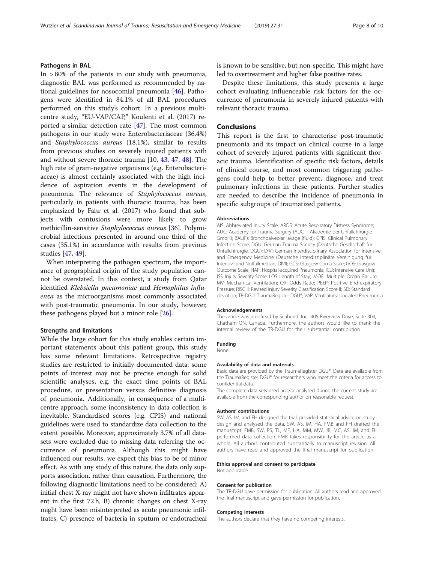## Pathogens in BAL

In  $>80\%$  of the patients in our study with pneumonia, diagnostic BAL was performed as recommended by national guidelines for nosocomial pneumonia [[46\]](#page-9-0). Pathogens were identified in 84.1% of all BAL procedures performed on this study's cohort. In a previous multicentre study, "EU-VAP/CAP," Koulenti et al. (2017) reported a similar detection rate [\[47](#page-9-0)]. The most common pathogens in our study were Enterobacteriaceae (36.4%) and Staphylococcus aureus (18.1%), similar to results from previous studies on severely injured patients with and without severe thoracic trauma [\[10](#page-8-0), [43](#page-9-0), [47,](#page-9-0) [48\]](#page-9-0). The high rate of gram-negative organisms (e.g. Enterobacteriaceae) is almost certainly associated with the high incidence of aspiration events in the development of pneumonia. The relevance of Staphylococcus aureus, particularly in patients with thoracic trauma, has been emphasized by Fahr et al. (2017) who found that subjects with contusions were more likely to grow methicillin-sensitive Staphylococcus aureus [\[36\]](#page-8-0). Polymicrobial infections presented in around one third of the cases (35.1%) in accordance with results from previous studies [\[47,](#page-9-0) [49\]](#page-9-0).

When interpreting the pathogen spectrum, the importance of geographical origin of the study population cannot be overstated. In this context, a study from Qatar identified Klebsiella pneumoniae and Hemophilus influenza as the microorganisms most commonly associated with post-traumatic pneumonia. In our study, however, these pathogens played but a minor role [[26\]](#page-8-0).

## Strengths and limitations

While the large cohort for this study enables certain important statements about this patient group, this study has some relevant limitations. Retrospective registry studies are restricted to initially documented data; some points of interest may not be precise enough for solid scientific analyses, e.g. the exact time points of BAL procedure, or presentation versus definitive diagnosis of pneumonia. Additionally, in consequence of a multicentre approach, some inconsistency in data collection is inevitable. Standardised scores (e.g. CPIS) and national guidelines were used to standardize data collection to the extent possible. Moreover, approximately 3.7% of all datasets were excluded due to missing data referring the occurrence of pneumonia. Although this might have influenced our results, we expect this bias to be of minor effect. As with any study of this nature, the data only supports association, rather than causation. Furthermore, the following diagnostic limitations need to be considered: A) initial chest X-ray might not have shown infiltrates apparent in the first 72 h, B) chronic changes on chest X-ray might have been misinterpreted as acute pneumonic infiltrates, C) presence of bacteria in sputum or endotracheal is known to be sensitive, but non-specific. This might have led to overtreatment and higher false positive rates.

Despite these limitations, this study presents a large cohort evaluating influenceable risk factors for the occurrence of pneumonia in severely injured patients with relevant thoracic trauma.

## Conclusions

This report is the first to characterise post-traumatic pneumonia and its impact on clinical course in a large cohort of severely injured patients with significant thoracic trauma. Identification of specific risk factors, details of clinical course, and most common triggering pathogens could help to better prevent, diagnose, and treat pulmonary infections in these patients. Further studies are needed to describe the incidence of pneumonia in specific subgroups of traumatized patients.

#### Abbreviations

AIS: Abbreviated Injury Scale; ARDS: Acute Respiratory Distress Syndrome; AUC: Academy for Trauma Surgery (AUC – Akademie der Unfallchirurgie GmbH); BAL(F): Bronchoalveolar lavage (fluid); CPIS: Clinical Pulmonary Infection Score; DGU: German Trauma Society (Deutsche Gesellschaft für Unfallchirurgie, DGU); DIVI: German Interdisciplinary Association for Intensive and Emergency Medicine (Deutsche Interdisziplinäre Vereinigung für Intensiv- und Notfallmedizin, DIVI); GCS: Glasgow Coma Scale; GOS: Glasgow Outcome Scale; HAP: Hospital-acquired Pneumonia; ICU: Intensive Care Unit; ISS: Injury Severity Score; LOS: Length of Stay; MOF: Multiple Organ Failure; MV: Mechanical Ventilation; OR: Odds Ratio; PEEP: Positive End-expiratory Pressure; RISC II: Revised Injury Severity Classification Score II; SD: Standard deviation; TR-DGU: TraumaRegister DGU®; VAP: Ventilator-associated Pneumonia

#### Acknowledgements

The article was proofread by Scribendi Inc.. 405 Riverview Drive, Suite 304, Chatham ON, Canada. Furthermore, the authors would like to thank the internal review of the TR-DGU for their substantial contribution.

#### Funding

None.

#### Availability of data and materials

Basic data are provided by the TraumaRegister DGU®. Data are available from the TraumaRegister DGU® for researchers who meet the criteria for access to confidential data.

The complete data sets used and/or analysed during the current study are available from the corresponding author on reasonable request.

#### Authors' contributions

SW, AS, IM, and FH designed the trial, provided statistical advice on study design and analysed the data. SW, AS, IM, HA, FMB and FH drafted the manuscript. FMB, SW, PS, TL, MF, HA, MM, MW, JB, MC, AS, IM, and FH performed data collection. FMB takes responsibility for the article as a whole. All authors contributed substantially to manuscript revision. All authors have read and approved the final manuscript for publication.

#### Ethics approval and consent to participate

Not applicable.

#### Consent for publication

The TR-DGU gave permission for publication. All authors read and approved the final manuscript and gave permission for publication.

#### Competing interests

The authors declare that they have no competing interests.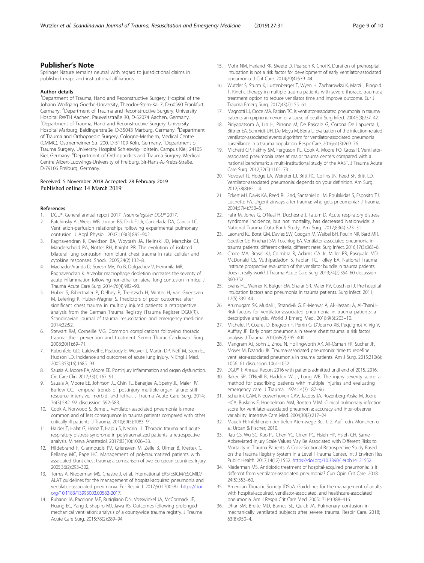## <span id="page-8-0"></span>Publisher's Note

Springer Nature remains neutral with regard to jurisdictional claims in published maps and institutional affiliations.

#### Author details

<sup>1</sup>Department of Trauma, Hand and Reconstructive Surgery, Hospital of the Johann Wolfgang Goethe-University, Theodor-Stern-Kai 7, D-60590 Frankfurt, Germany. <sup>2</sup>Department of Trauma and Reconstructive Surgery, University Hospital RWTH Aachen, Pauwelsstraße 30, D-52074 Aachen, Germany. <sup>3</sup>Department of Trauma, Hand and Reconstructive Surgery, University Hospital Marburg, Baldingerstraße, D-35043 Marburg, Germany. <sup>4</sup>Department of Trauma and Orthopaedic Surgery, Cologne-Merheim, Medical Centre (CMMC), Ostmerheimer Str. 200, D-51109 Köln, Germany. <sup>5</sup>Department of Trauma Surgery, University Hospital Schleswig-Holstein, Campus Kiel, 24105 Kiel, Germany. <sup>6</sup>Department of Orthopaedics and Trauma Surgery, Medical Centre Albert-Ludwings-University of Freiburg, Sir-Hans-A.-Krebs-Straße, D-79106 Freiburg, Germany.

## Received: 5 November 2018 Accepted: 28 February 2019 Published online: 14 March 2019

## References

- 1. DGU®: General annual report 2017. TraumaRegister DGU® 2017.<br>2. Batchinsky AL Weiss WB, Jordan BS, Dick EL Jr. Cancelada DA.
- 2. Batchinsky AI, Weiss WB, Jordan BS, Dick EJ Jr, Cancelada DA, Cancio LC. Ventilation-perfusion relationships following experimental pulmonary contusion. J Appl Physiol. 2007;103(3):895–902.
- 3. Raghavendran K, Davidson BA, Woytash JA, Helinski JD, Marschke CJ, Manderscheid PA, Notter RH, Knight PR. The evolution of isolated bilateral lung contusion from blunt chest trauma in rats: cellular and cytokine responses. Shock. 2005;24(2):132–8.
- 4. Machado-Aranda D, Suresh MV, Yu B, Dolgachev V, Hemmila MR, Raghavendran K. Alveolar macrophage depletion increases the severity of acute inflammation following nonlethal unilateral lung contusion in mice. J Trauma Acute Care Surg. 2014;76(4):982–90.
- 5. Huber S, Biberthaler P, Delhey P, Trentzsch H, Winter H, van Griensven M, Lefering R, Huber-Wagner S. Predictors of poor outcomes after significant chest trauma in multiply injured patients: a retrospective analysis from the German Trauma Registry (Trauma Register DGU(R)). Scandinavian journal of trauma, resuscitation and emergency medicine. 2014;22:52.
- 6. Stewart RM, Corneille MG. Common complications following thoracic trauma: their prevention and treatment. Semin Thorac Cardiovasc Surg. 2008;20(1):69–71.
- Rubenfeld GD, Caldwell E, Peabody E, Weaver J, Martin DP, Neff M, Stern EJ, Hudson LD. Incidence and outcomes of acute lung injury. N Engl J Med. 2005;353(16):1685–93.
- 8. Sauaia A, Moore FA, Moore EE. Postinjury inflammation and organ dysfunction. Crit Care Clin. 2017;33(1):167–91.
- 9. Sauaia A, Moore EE, Johnson JL, Chin TL, Banerjee A, Sperry JL, Maier RV, Burlew CC. Temporal trends of postinjury multiple-organ failure: still resource intensive, morbid, and lethal. J Trauma Acute Care Surg. 2014; 76(3):582–92 discussion 592-583.
- 10. Cook A, Norwood S, Berne J. Ventilator-associated pneumonia is more common and of less consequence in trauma patients compared with other critically ill patients. J Trauma. 2010;69(5):1083–91.
- 11. Haider T, Halat G, Heinz T, Hajdu S, Negrin LL. Thoracic trauma and acute respiratory distress syndrome in polytraumatized patients: a retrospective analysis. Minerva Anestesiol. 2017;83(10):1026–33.
- 12. Hildebrand F, Giannoudis PV, Griensven M, Zelle B, Ulmer B, Krettek C, Bellamy MC, Pape HC. Management of polytraumatized patients with associated blunt chest trauma: a comparison of two European countries. Injury. 2005;36(2):293–302.
- 13. Torres A, Niederman MS, Chastre J, et al. International ERS/ESICM/ESCMID/ ALAT guidelines for the management of hospital-acquired pneumonia and ventilator-associated pneumonia. Eur Respir J. 2017;50:1700582. [https://doi.](https://doi.org/10.1183/13993003.00582-2017) [org/10.1183/13993003.00582-2017](https://doi.org/10.1183/13993003.00582-2017).
- 14. Rubano JA, Paccione MF, Rutigliano DN, Vosswinkel JA, McCormack JE, Huang EC, Yang J, Shapiro MJ, Jawa RS. Outcomes following prolonged mechanical ventilation: analysis of a countywide trauma registry. J Trauma Acute Care Surg. 2015;78(2):289–94.
- 15. Mohr NM, Harland KK, Skeete D, Pearson K, Choi K. Duration of prehospital intubation is not a risk factor for development of early ventilator-associated pneumonia. J Crit Care. 2014;29(4):539–44.
- 16. Wutzler S, Sturm K, Lustenberger T, Wyen H, Zacharowksi K, Marzi I, Bingold T. Kinetic therapy in multiple trauma patients with severe thoracic trauma: a treatment option to reduce ventilator time and improve outcome. Eur J Trauma Emerg Surg. 2017;43(2):155–61.
- 17. Magnotti LJ, Croce MA, Fabian TC. Is ventilator-associated pneumonia in trauma patients an epiphenomenon or a cause of death? Surg Infect. 2004;5(3):237–42.
- 18. Piriyapatsom A, Lin H, Pirrone M, De Pascale G, Corona De Lapuerta J, Bittner EA, Schmidt UH, De Moya M, Berra L. Evaluation of the infection-related ventilator-associated events algorithm for ventilator-associated pneumonia surveillance in a trauma population. Respir Care. 2016;61(3):269–76.
- 19. Michetti CP, Fakhry SM, Ferguson PL, Cook A, Moore FO, Gross R. Ventilatorassociated pneumonia rates at major trauma centers compared with a national benchmark: a multi-institutional study of the AAST. J Trauma Acute Care Surg. 2012;72(5):1165–73.
- 20. Novosel TJ, Hodge LA, Weireter LJ, Britt RC, Collins JN, Reed SF, Britt LD. Ventilator-associated pneumonia: depends on your definition. Am Surg. 2012;78(8):851–4.
- 21. Eckert MJ, Davis KA, Reed RL 2nd, Santaniello JM, Poulakidas S, Esposito TJ, Luchette FA. Urgent airways after trauma: who gets pneumonia? J Trauma. 2004;57(4):750–5.
- 22. Fahr M, Jones G, O'Neal H, Duchesne J, Tatum D. Acute respiratory distress syndrome incidence, but not mortality, has decreased Nationwide: a National Trauma Data Bank Study. Am Surg. 2017;83(4):323–31.
- 23. Leonard KL, Borst GM, Davies SW, Coogan M, Waibel BH, Poulin NR, Bard MR, Goettler CE, Rinehart SM, Toschlog EA. Ventilator-associated pneumonia in trauma patients: different criteria, different rates. Surg Infect. 2016;17(3):363–8.
- 24. Croce MA, Brasel KJ, Coimbra R, Adams CA Jr, Miller PR, Pasquale MD, McDonald CS, Vuthipadadon S, Fabian TC, Tolley EA. National Trauma Institute prospective evaluation of the ventilator bundle in trauma patients: does it really work? J Trauma Acute Care Surg. 2013;74(2):354–60 discussion 360-352.
- 25. Evans HL, Warner K, Bulger EM, Sharar SR, Maier RV, Cuschieri J. Pre-hospital intubation factors and pneumonia in trauma patients. Surg Infect. 2011; 12(5):339–44.
- 26. Arumugam SK, Mudali I, Strandvik G, El-Menyar A, Al-Hassani A, Al-Thani H. Risk factors for ventilator-associated pneumonia in trauma patients: a descriptive analysis. World J Emerg Med. 2018;9(3):203–10.
- 27. Michelet P, Couret D, Bregeon F, Perrin G, D'Journo XB, Pequignot V, Vig V, Auffray JP. Early onset pneumonia in severe chest trauma: a risk factor analysis. J Trauma. 2010;68(2):395–400.
- 28. Mangram AJ, Sohn J, Zhou N, Hollingworth AK, Ali-Osman FR, Sucher JF, Moyer M, Dzandu JK. Trauma-associated pneumonia: time to redefine ventilator-associated pneumonia in trauma patients. Am J Surg. 2015;210(6): 1056–61 discussion 1061-1052.
- 29. DGU® T: Annual Report 2016 with patients admitted until end of 2015. 2016.
- 30. Baker SP, O'Neill B, Haddon W Jr, Long WB. The injury severity score: a method for describing patients with multiple injuries and evaluating emergency care. J Trauma. 1974;14(3):187–96.
- 31. Schurink CAM, Nieuwenhoven CAV, Jacobs JA, Rozenberg-Arska M, Joore HCA, Buskens E, Hoepelman AIM, Bonten MJM. Clinical pulmonary infection score for ventilator-associated pneumonia: accuracy and inter-observer variability. Intensive Care Med. 2004;30(2):217–24.
- 32. Mauch H: Infektionen der tiefen Atemwege Bd. 1, 2. Aufl. edn. München u. a.: Urban & Fischer; 2010.
- 33. Rau CS, Wu SC, Kuo PJ, Chen YC, Chien PC, Hsieh HY, Hsieh CH. Same Abbreviated Injury Scale Values May Be Associated with Different Risks to Mortality in Trauma Patients: A Cross-Sectional Retrospective Study Based on the Trauma Registry System in a Level I Trauma Center. Int J Environ Res Public Health. 2017;14(12):1552. [https://doi.org/10.3390/ijerph14121552.](https://doi.org/10.3390/ijerph14121552)
- 34. Niederman MS. Antibiotic treatment of hospital-acquired pneumonia: is it different from ventilator-associated pneumonia? Curr Opin Crit Care. 2018; 24(5):353–60.
- 35. American Thoracic Society IDSoA. Guidelines for the management of adults with hospital-acquired, ventilator-associated, and healthcare-associated pneumonia. Am J Respir Crit Care Med. 2005;171(4):388–416.
- 36. Dhar SM, Breite MD, Barnes SL, Quick JA. Pulmonary contusion in mechanically ventilated subjects after severe trauma. Respir Care. 2018; 63(8):950–4.